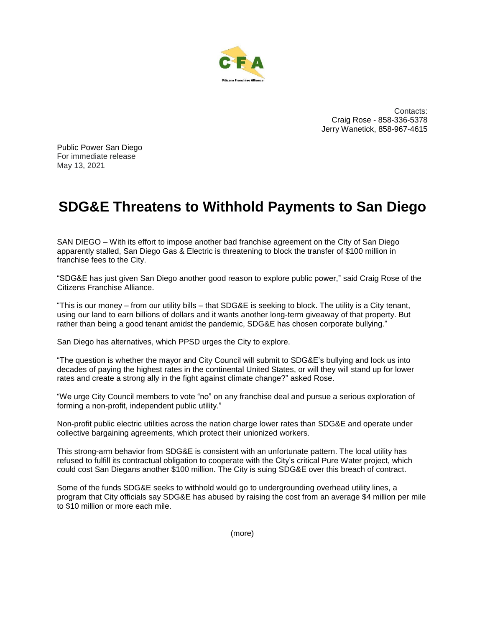

Contacts: Craig Rose - 858-336-5378 Jerry Wanetick, 858-967-4615

Public Power San Diego For immediate release May 13, 2021

## **SDG&E Threatens to Withhold Payments to San Diego**

SAN DIEGO – With its effort to impose another bad franchise agreement on the City of San Diego apparently stalled, San Diego Gas & Electric is threatening to block the transfer of \$100 million in franchise fees to the City.

"SDG&E has just given San Diego another good reason to explore public power," said Craig Rose of the Citizens Franchise Alliance.

"This is our money – from our utility bills – that SDG&E is seeking to block. The utility is a City tenant, using our land to earn billions of dollars and it wants another long-term giveaway of that property. But rather than being a good tenant amidst the pandemic, SDG&E has chosen corporate bullying."

San Diego has alternatives, which PPSD urges the City to explore.

"The question is whether the mayor and City Council will submit to SDG&E's bullying and lock us into decades of paying the highest rates in the continental United States, or will they will stand up for lower rates and create a strong ally in the fight against climate change?" asked Rose.

"We urge City Council members to vote "no" on any franchise deal and pursue a serious exploration of forming a non-profit, independent public utility."

Non-profit public electric utilities across the nation charge lower rates than SDG&E and operate under collective bargaining agreements, which protect their unionized workers.

This strong-arm behavior from SDG&E is consistent with an unfortunate pattern. The local utility has refused to fulfill its contractual obligation to cooperate with the City's critical Pure Water project, which could cost San Diegans another \$100 million. The City is suing SDG&E over this breach of contract.

Some of the funds SDG&E seeks to withhold would go to undergrounding overhead utility lines, a program that City officials say SDG&E has abused by raising the cost from an average \$4 million per mile to \$10 million or more each mile.

(more)